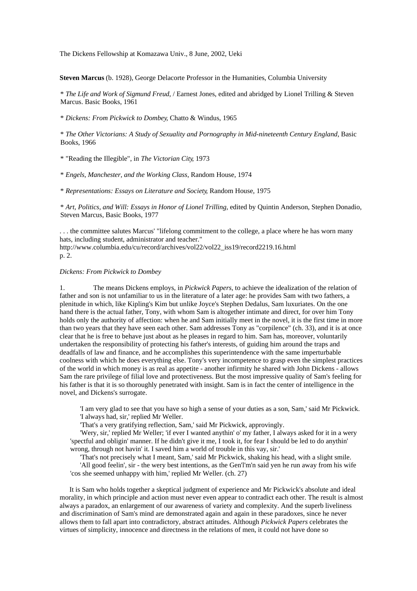The Dickens Fellowship at Komazawa Univ., 8 June, 2002, Ueki

**Steven Marcus** (b. 1928), George Delacorte Professor in the Humanities, Columbia University

\* *The Life and Work of Sigmund Freud*, / Earnest Jones, edited and abridged by Lionel Trilling & Steven Marcus. Basic Books, 1961

\* *Dickens: From Pickwick to Dombey*, Chatto & Windus, 1965

\* *The Other Victorians: A Study of Sexuality and Pornography in Mid-nineteenth Century England*, Basic Books, 1966

\* "Reading the Illegible", in *The Victorian City*, 1973

\* *Engels, Manchester, and the Working Class*, Random House, 1974

\* *Representations: Essays on Literature and Society*, Random House, 1975

\* *Art, Politics, and Will: Essays in Honor of Lionel Trilling*, edited by Quintin Anderson, Stephen Donadio, Steven Marcus, Basic Books, 1977

. . . the committee salutes Marcus' "lifelong commitment to the college, a place where he has worn many hats, including student, administrator and teacher."

http://www.columbia.edu/cu/record/archives/vol22/vol22\_iss19/record2219.16.html p. 2.

## *Dickens: From Pickwick to Dombey*

1. The means Dickens employs, in *Pickwick Papers*, to achieve the idealization of the relation of father and son is not unfamiliar to us in the literature of a later age: he provides Sam with two fathers, a plenitude in which, like Kipling's Kim but unlike Joyce's Stephen Dedalus, Sam luxuriates. On the one hand there is the actual father, Tony, with whom Sam is altogether intimate and direct, for over him Tony holds only the authority of affection: when he and Sam initially meet in the novel, it is the first time in more than two years that they have seen each other. Sam addresses Tony as "corpilence" (ch. 33), and it is at once clear that he is free to behave just about as he pleases in regard to him. Sam has, moreover, voluntarily undertaken the responsibility of protecting his father's interests, of guiding him around the traps and deadfalls of law and finance, and he accomplishes this superintendence with the same imperturbable coolness with which he does everything else. Tony's very incompetence to grasp even the simplest practices of the world in which money is as real as appetite - another infirmity he shared with John Dickens - allows Sam the rare privilege of filial love and protectiveness. But the most impressive quality of Sam's feeling for his father is that it is so thoroughly penetrated with insight. Sam is in fact the center of intelligence in the novel, and Dickens's surrogate.

'I am very glad to see that you have so high a sense of your duties as a son, Sam,' said Mr Pickwick. 'I always had, sir,' replied Mr Weller.

'That's a very gratifying reflection, Sam,' said Mr Pickwick, approvingly.

'Wery, sir,' replied Mr Weller; 'if ever I wanted anythin' o' my father, I always asked for it in a wery 'spectful and obligin' manner. If he didn't give it me, I took it, for fear I should be led to do anythin' wrong, through not havin' it. I saved him a world of trouble in this vay, sir.'

'That's not precisely what I meant, Sam,' said Mr Pickwick, shaking his head, with a slight smile. 'All good feelin', sir - the wery best intentions, as the Gen'l'm'n said yen he run away from his wife 'cos she seemed unhappy with him,' replied Mr Weller. (ch. 27)

It is Sam who holds together a skeptical judgment of experience and Mr Pickwick's absolute and ideal morality, in which principle and action must never even appear to contradict each other. The result is almost always a paradox, an enlargement of our awareness of variety and complexity. And the superb liveliness and discrimination of Sam's mind are demonstrated again and again in these paradoxes, since he never allows them to fall apart into contradictory, abstract attitudes. Although *Pickwick Papers* celebrates the virtues of simplicity, innocence and directness in the relations of men, it could not have done so